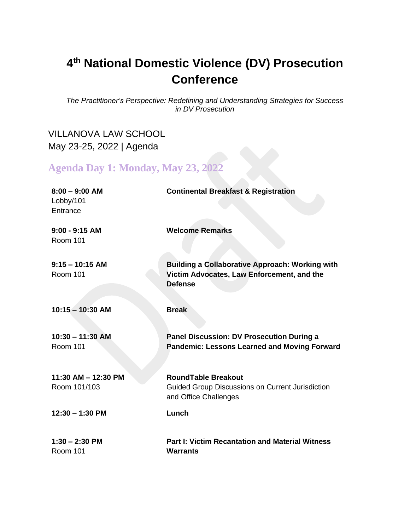## **4 th National Domestic Violence (DV) Prosecution Conference**

*The Practitioner's Perspective: Redefining and Understanding Strategies for Success in DV Prosecution*

## VILLANOVA LAW SCHOOL May 23-25, 2022 | Agenda

**Agenda Day 1: Monday, May 23, 2022**

| $8:00 - 9:00$ AM<br>Lobby/101<br>Entrance | <b>Continental Breakfast &amp; Registration</b>                                                                        |
|-------------------------------------------|------------------------------------------------------------------------------------------------------------------------|
| $9:00 - 9:15$ AM<br><b>Room 101</b>       | <b>Welcome Remarks</b>                                                                                                 |
| $9:15 - 10:15$ AM<br><b>Room 101</b>      | <b>Building a Collaborative Approach: Working with</b><br>Victim Advocates, Law Enforcement, and the<br><b>Defense</b> |
| $10:15 - 10:30$ AM                        | <b>Break</b>                                                                                                           |
| $10:30 - 11:30$ AM<br><b>Room 101</b>     | Panel Discussion: DV Prosecution During a<br><b>Pandemic: Lessons Learned and Moving Forward</b>                       |
| 11:30 AM - 12:30 PM<br>Room 101/103       | <b>RoundTable Breakout</b><br><b>Guided Group Discussions on Current Jurisdiction</b><br>and Office Challenges         |
| $12:30 - 1:30$ PM                         | Lunch                                                                                                                  |
| $1:30 - 2:30$ PM<br><b>Room 101</b>       | <b>Part I: Victim Recantation and Material Witness</b><br><b>Warrants</b>                                              |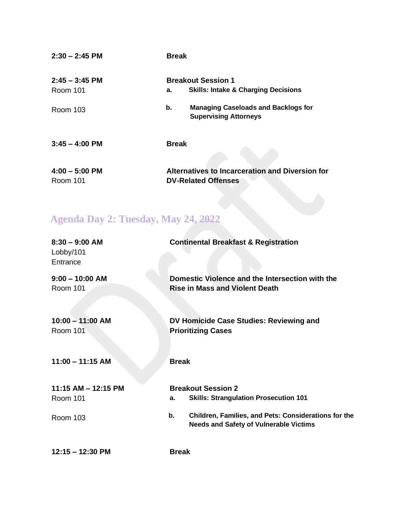| $2:30 - 2:45$ PM             | <b>Break</b>                                                                      |
|------------------------------|-----------------------------------------------------------------------------------|
| $2:45 - 3:45$ PM<br>Room 101 | <b>Breakout Session 1</b><br><b>Skills: Intake &amp; Charging Decisions</b><br>а. |
| Room 103                     | b.<br><b>Managing Caseloads and Backlogs for</b><br><b>Supervising Attorneys</b>  |
| $3:45 - 4:00$ PM             | <b>Break</b>                                                                      |
| $4:00 - 5:00$ PM<br>Room 101 | Alternatives to Incarceration and Diversion for<br><b>DV-Related Offenses</b>     |

## **Agenda Day 2: Tuesday, May 24, 2022**

| $8:30 - 9:00$ AM<br>Lobby/101<br>Entrance          | <b>Continental Breakfast &amp; Registration</b>                                                                                                                                                |
|----------------------------------------------------|------------------------------------------------------------------------------------------------------------------------------------------------------------------------------------------------|
| $9:00 - 10:00$ AM<br>Room 101                      | Domestic Violence and the Intersection with the<br><b>Rise in Mass and Violent Death</b>                                                                                                       |
| $10:00 - 11:00$ AM<br><b>Room 101</b>              | DV Homicide Case Studies: Reviewing and<br><b>Prioritizing Cases</b>                                                                                                                           |
| $11:00 - 11:15$ AM                                 | <b>Break</b>                                                                                                                                                                                   |
| 11:15 AM - 12:15 PM<br>Room 101<br><b>Room 103</b> | <b>Breakout Session 2</b><br><b>Skills: Strangulation Prosecution 101</b><br>а.<br>Children, Families, and Pets: Considerations for the<br>b.<br><b>Needs and Safety of Vulnerable Victims</b> |
| $12:15 - 12:30$ PM                                 | <b>Break</b>                                                                                                                                                                                   |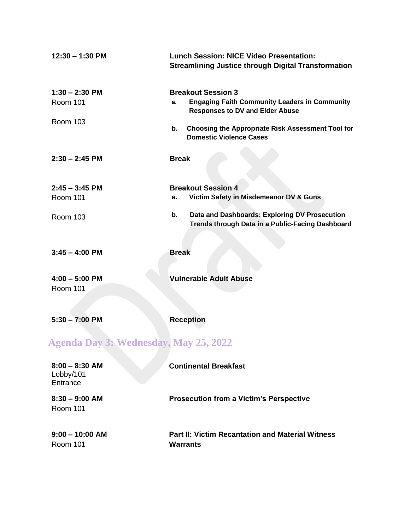| $12:30 - 1:30$ PM                            | <b>Lunch Session: NICE Video Presentation:</b><br><b>Streamlining Justice through Digital Transformation</b>                      |
|----------------------------------------------|-----------------------------------------------------------------------------------------------------------------------------------|
| $1:30 - 2:30$ PM<br><b>Room 101</b>          | <b>Breakout Session 3</b><br><b>Engaging Faith Community Leaders in Community</b><br>a.<br><b>Responses to DV and Elder Abuse</b> |
| <b>Room 103</b>                              | Choosing the Appropriate Risk Assessment Tool for<br>b.<br><b>Domestic Violence Cases</b>                                         |
| $2:30 - 2:45$ PM                             | <b>Break</b>                                                                                                                      |
| $2:45 - 3:45$ PM                             | <b>Breakout Session 4</b>                                                                                                         |
| <b>Room 101</b>                              | Victim Safety in Misdemeanor DV & Guns<br>а.                                                                                      |
| <b>Room 103</b>                              | Data and Dashboards: Exploring DV Prosecution<br>b.<br>Trends through Data in a Public-Facing Dashboard                           |
| $3:45 - 4:00$ PM                             | <b>Break</b>                                                                                                                      |
| $4:00 - 5:00$ PM                             | <b>Vulnerable Adult Abuse</b>                                                                                                     |
| <b>Room 101</b>                              |                                                                                                                                   |
|                                              |                                                                                                                                   |
| $5:30 - 7:00$ PM                             | <b>Reception</b>                                                                                                                  |
| <b>Agenda Day 3: Wednesday, May 25, 2022</b> |                                                                                                                                   |
| $8:00 - 8:30$ AM<br>Lobby/101<br>Entrance    | <b>Continental Breakfast</b>                                                                                                      |
| $8:30 - 9:00$ AM<br><b>Room 101</b>          | <b>Prosecution from a Victim's Perspective</b>                                                                                    |
| $9:00 - 10:00$ AM<br><b>Room 101</b>         | <b>Part II: Victim Recantation and Material Witness</b><br><b>Warrants</b>                                                        |